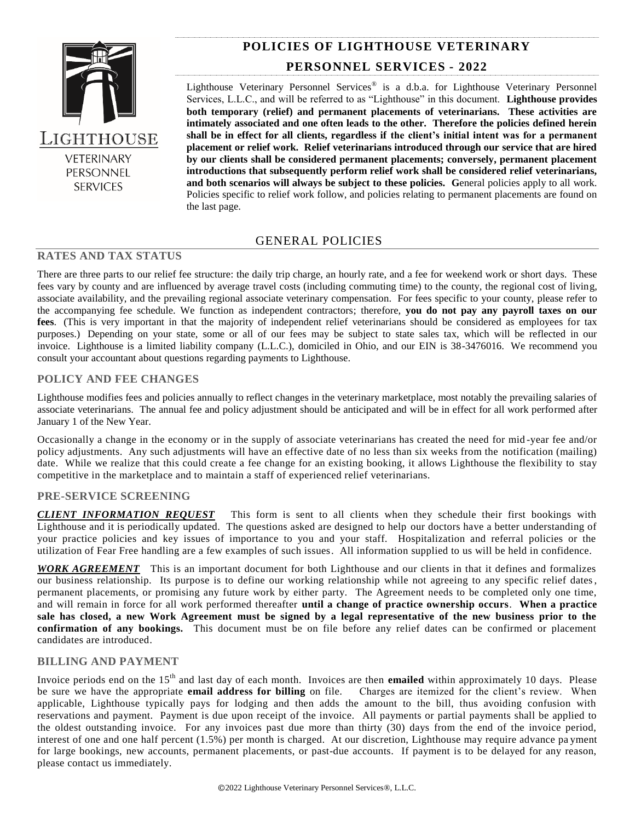

PERSONNEL **SERVICES** 

# **POLICIES OF LIGHTHOUSE VETERINARY**

## **PERSONNEL SERVICES - 2022**

Lighthouse Veterinary Personnel Services<sup>®</sup> is a d.b.a. for Lighthouse Veterinary Personnel Services, L.L.C., and will be referred to as "Lighthouse" in this document. **Lighthouse provides both temporary (relief) and permanent placements of veterinarians. These activities are intimately associated and one often leads to the other. Therefore the policies defined herein shall be in effect for all clients, regardless if the client's initial intent was for a permanent placement or relief work. Relief veterinarians introduced through our service that are hired by our clients shall be considered permanent placements; conversely, permanent placement introductions that subsequently perform relief work shall be considered relief veterinarians, and both scenarios will always be subject to these policies. G**eneral policies apply to all work. Policies specific to relief work follow, and policies relating to permanent placements are found on the last page.

### GENERAL POLICIES

## **RATES AND TAX STATUS**

There are three parts to our relief fee structure: the daily trip charge, an hourly rate, and a fee for weekend work or short days. These fees vary by county and are influenced by average travel costs (including commuting time) to the county, the regional cost of living, associate availability, and the prevailing regional associate veterinary compensation. For fees specific to your county, please refer to the accompanying fee schedule. We function as independent contractors; therefore, **you do not pay any payroll taxes on our fees**. (This is very important in that the majority of independent relief veterinarians should be considered as employees for tax purposes.) Depending on your state, some or all of our fees may be subject to state sales tax, which will be reflected in our invoice. Lighthouse is a limited liability company (L.L.C.), domiciled in Ohio, and our EIN is 38-3476016. We recommend you consult your accountant about questions regarding payments to Lighthouse.

### **POLICY AND FEE CHANGES**

Lighthouse modifies fees and policies annually to reflect changes in the veterinary marketplace, most notably the prevailing salaries of associate veterinarians. The annual fee and policy adjustment should be anticipated and will be in effect for all work performed after January 1 of the New Year.

Occasionally a change in the economy or in the supply of associate veterinarians has created the need for mid -year fee and/or policy adjustments. Any such adjustments will have an effective date of no less than six weeks from the notification (mailing) date. While we realize that this could create a fee change for an existing booking, it allows Lighthouse the flexibility to stay competitive in the marketplace and to maintain a staff of experienced relief veterinarians.

#### **PRE-SERVICE SCREENING**

*CLIENT INFORMATION REQUEST* This form is sent to all clients when they schedule their first bookings with Lighthouse and it is periodically updated. The questions asked are designed to help our doctors have a better understanding of your practice policies and key issues of importance to you and your staff. Hospitalization and referral policies or the utilization of Fear Free handling are a few examples of such issues. All information supplied to us will be held in confidence.

*WORK AGREEMENT* This is an important document for both Lighthouse and our clients in that it defines and formalizes our business relationship. Its purpose is to define our working relationship while not agreeing to any specific relief dates, permanent placements, or promising any future work by either party. The Agreement needs to be completed only one time, and will remain in force for all work performed thereafter **until a change of practice ownership occurs**. **When a practice sale has closed, a new Work Agreement must be signed by a legal representative of the new business prior to the confirmation of any bookings.** This document must be on file before any relief dates can be confirmed or placement candidates are introduced.

#### **BILLING AND PAYMENT**

Invoice periods end on the 15<sup>th</sup> and last day of each month. Invoices are then **emailed** within approximately 10 days. Please be sure we have the appropriate **email address for billing** on file. Charges are itemized for the client's review. When applicable, Lighthouse typically pays for lodging and then adds the amount to the bill, thus avoiding confusion with reservations and payment. Payment is due upon receipt of the invoice. All payments or partial payments shall be applied to the oldest outstanding invoice. For any invoices past due more than thirty (30) days from the end of the invoice period, interest of one and one half percent (1.5%) per month is charged. At our discretion, Lighthouse may require advance pa yment for large bookings, new accounts, permanent placements, or past-due accounts. If payment is to be delayed for any reason, please contact us immediately.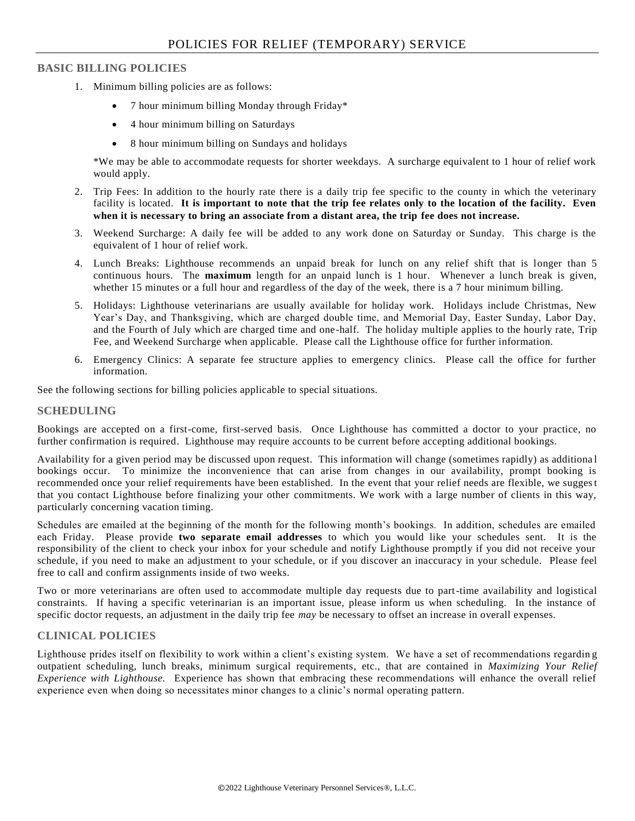## **BASIC BILLING POLICIES**

- 1. Minimum billing policies are as follows:
	- 7 hour minimum billing Monday through Friday\*
	- 4 hour minimum billing on Saturdays
	- 8 hour minimum billing on Sundays and holidays

\*We may be able to accommodate requests for shorter weekdays. A surcharge equivalent to 1 hour of relief work would apply.

- 2. Trip Fees: In addition to the hourly rate there is a daily trip fee specific to the county in which the veterinary facility is located. **It is important to note that the trip fee relates only to the location of the facility. Even when it is necessary to bring an associate from a distant area, the trip fee does not increase.**
- 3. Weekend Surcharge: A daily fee will be added to any work done on Saturday or Sunday. This charge is the equivalent of 1 hour of relief work.
- 4. Lunch Breaks: Lighthouse recommends an unpaid break for lunch on any relief shift that is longer than 5 continuous hours. The **maximum** length for an unpaid lunch is 1 hour. Whenever a lunch break is given, whether 15 minutes or a full hour and regardless of the day of the week, there is a 7 hour minimum billing.
- 5. Holidays: Lighthouse veterinarians are usually available for holiday work. Holidays include Christmas, New Year's Day, and Thanksgiving, which are charged double time, and Memorial Day, Easter Sunday, Labor Day, and the Fourth of July which are charged time and one-half. The holiday multiple applies to the hourly rate, Trip Fee, and Weekend Surcharge when applicable. Please call the Lighthouse office for further information.
- 6. Emergency Clinics: A separate fee structure applies to emergency clinics. Please call the office for further information.

See the following sections for billing policies applicable to special situations.

#### **SCHEDULING**

Bookings are accepted on a first-come, first-served basis. Once Lighthouse has committed a doctor to your practice, no further confirmation is required. Lighthouse may require accounts to be current before accepting additional bookings.

Availability for a given period may be discussed upon request. This information will change (sometimes rapidly) as additiona l bookings occur. To minimize the inconvenience that can arise from changes in our availability, prompt booking is recommended once your relief requirements have been established. In the event that your relief needs are flexible, we suggest that you contact Lighthouse before finalizing your other commitments. We work with a large number of clients in this way, particularly concerning vacation timing.

Schedules are emailed at the beginning of the month for the following month's bookings. In addition, schedules are emailed each Friday. Please provide **two separate email addresses** to which you would like your schedules sent. It is the responsibility of the client to check your inbox for your schedule and notify Lighthouse promptly if you did not receive your schedule, if you need to make an adjustment to your schedule, or if you discover an inaccuracy in your schedule. Please feel free to call and confirm assignments inside of two weeks.

Two or more veterinarians are often used to accommodate multiple day requests due to part-time availability and logistical constraints. If having a specific veterinarian is an important issue, please inform us when scheduling. In the instance of specific doctor requests, an adjustment in the daily trip fee *may* be necessary to offset an increase in overall expenses.

### **CLINICAL POLICIES**

Lighthouse prides itself on flexibility to work within a client's existing system. We have a set of recommendations regardin g outpatient scheduling, lunch breaks, minimum surgical requirements, etc., that are contained in *Maximizing Your Relief Experience with Lighthouse.* Experience has shown that embracing these recommendations will enhance the overall relief experience even when doing so necessitates minor changes to a clinic's normal operating pattern.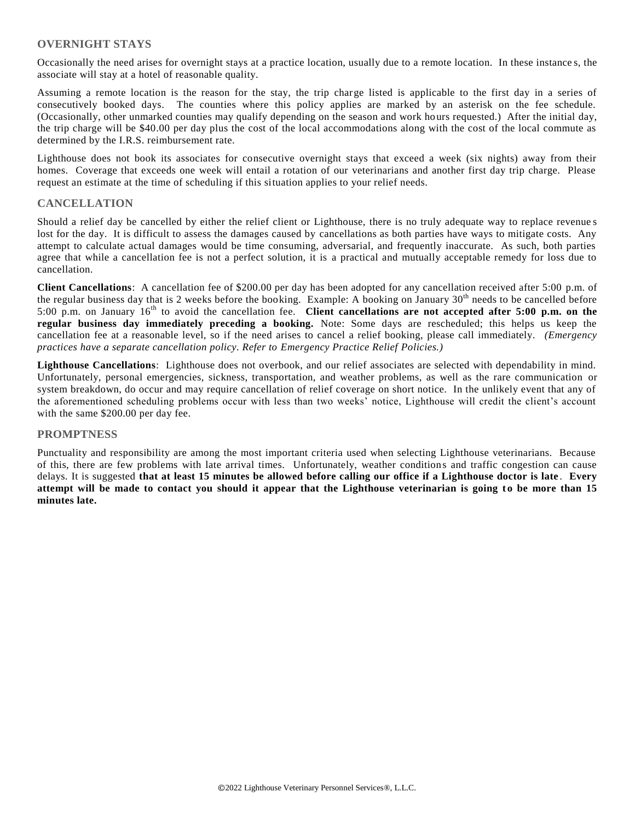### **OVERNIGHT STAYS**

Occasionally the need arises for overnight stays at a practice location, usually due to a remote location. In these instance s, the associate will stay at a hotel of reasonable quality.

Assuming a remote location is the reason for the stay, the trip charge listed is applicable to the first day in a series of consecutively booked days. The counties where this policy applies are marked by an asterisk on the fee schedule. (Occasionally, other unmarked counties may qualify depending on the season and work hours requested.) After the initial day, the trip charge will be \$40.00 per day plus the cost of the local accommodations along with the cost of the local commute as determined by the I.R.S. reimbursement rate.

Lighthouse does not book its associates for consecutive overnight stays that exceed a week (six nights) away from their homes. Coverage that exceeds one week will entail a rotation of our veterinarians and another first day trip charge. Please request an estimate at the time of scheduling if this situation applies to your relief needs.

#### **CANCELLATION**

Should a relief day be cancelled by either the relief client or Lighthouse, there is no truly adequate way to replace revenue s lost for the day. It is difficult to assess the damages caused by cancellations as both parties have ways to mitigate costs. Any attempt to calculate actual damages would be time consuming, adversarial, and frequently inaccurate. As such, both parties agree that while a cancellation fee is not a perfect solution, it is a practical and mutually acceptable remedy for loss due to cancellation.

**Client Cancellations**: A cancellation fee of \$200.00 per day has been adopted for any cancellation received after 5:00 p.m. of the regular business day that is 2 weeks before the booking. Example: A booking on January  $30<sup>th</sup>$  needs to be cancelled before 5:00 p.m. on January 16th to avoid the cancellation fee. **Client cancellations are not accepted after 5:00 p.m. on the regular business day immediately preceding a booking.** Note: Some days are rescheduled; this helps us keep the cancellation fee at a reasonable level, so if the need arises to cancel a relief booking, please call immediately. *(Emergency practices have a separate cancellation policy. Refer to Emergency Practice Relief Policies.)*

**Lighthouse Cancellations**: Lighthouse does not overbook, and our relief associates are selected with dependability in mind. Unfortunately, personal emergencies, sickness, transportation, and weather problems, as well as the rare communication or system breakdown, do occur and may require cancellation of relief coverage on short notice. In the unlikely event that any of the aforementioned scheduling problems occur with less than two weeks' notice, Lighthouse will credit the client's account with the same \$200.00 per day fee.

#### **PROMPTNESS**

Punctuality and responsibility are among the most important criteria used when selecting Lighthouse veterinarians. Because of this, there are few problems with late arrival times. Unfortunately, weather conditions and traffic congestion can cause delays. It is suggested **that at least 15 minutes be allowed before calling our office if a Lighthouse doctor is late** . **Every**  attempt will be made to contact you should it appear that the Lighthouse veterinarian is going to be more than 15 **minutes late.**